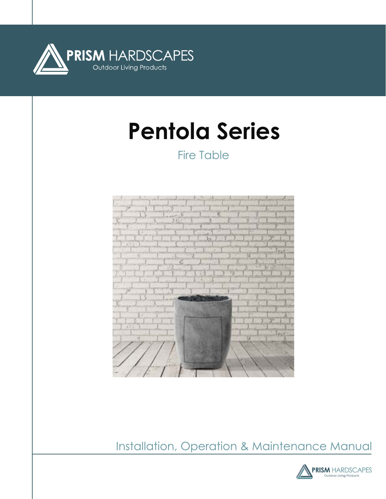

# **Pentola Series**

Fire Table



Installation, Operation & Maintenance Manual

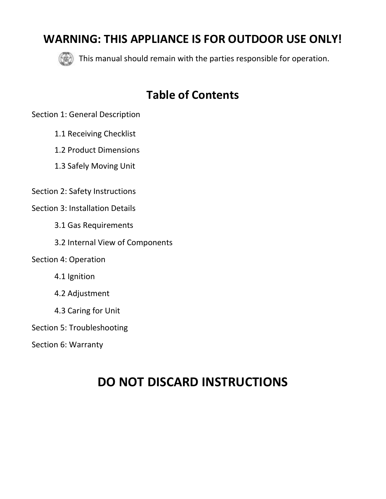### **WARNING: THIS APPLIANCE IS FOR OUTDOOR USE ONLY!**



This manual should remain with the parties responsible for operation.

### **Table of Contents**

Section 1: General Description

- 1.1 Receiving Checklist
- 1.2 Product Dimensions
- 1.3 Safely Moving Unit
- Section 2: Safety Instructions

Section 3: Installation Details

- 3.1 Gas Requirements
- 3.2 Internal View of Components

Section 4: Operation

- 4.1 Ignition
- 4.2 Adjustment
- 4.3 Caring for Unit

Section 5: Troubleshooting

Section 6: Warranty

## **DO NOT DISCARD INSTRUCTIONS**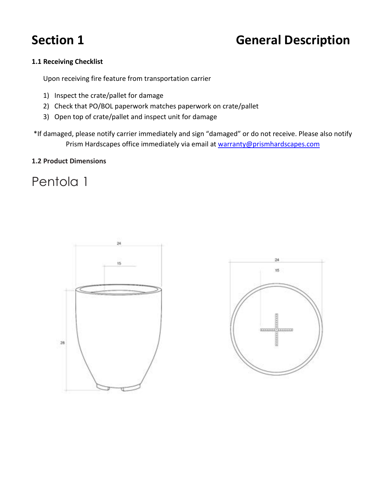## **Section 1 General Description**

#### **1.1 Receiving Checklist**

Upon receiving fire feature from transportation carrier

- 1) Inspect the crate/pallet for damage
- 2) Check that PO/BOL paperwork matches paperwork on crate/pallet
- 3) Open top of crate/pallet and inspect unit for damage

\*If damaged, please notify carrier immediately and sign "damaged" or do not receive. Please also notify Prism Hardscapes office immediately via email at [warranty@prismhardscapes.com](mailto:warranty@prismhardscapes.com)

#### **1.2 Product Dimensions**

### Pentola 1



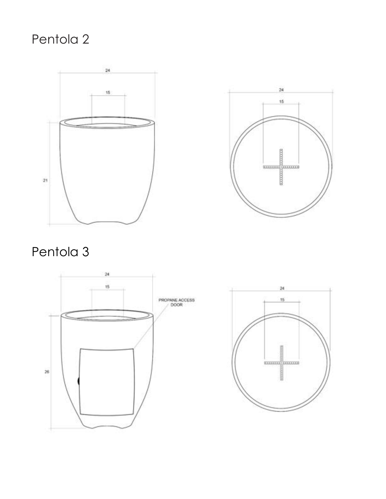## Pentola 2





## Pentola 3



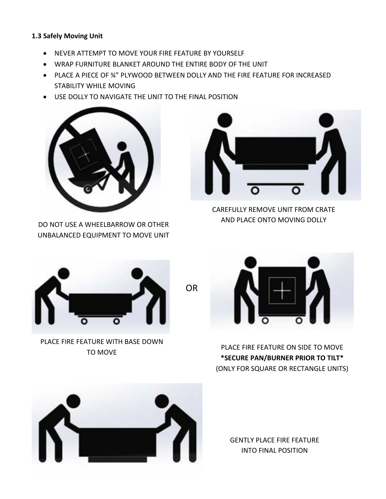#### **1.3 Safely Moving Unit**

- NEVER ATTEMPT TO MOVE YOUR FIRE FEATURE BY YOURSELF
- WRAP FURNITURE BLANKET AROUND THE ENTIRE BODY OF THE UNIT
- PLACE A PIECE OF ¾" PLYWOOD BETWEEN DOLLY AND THE FIRE FEATURE FOR INCREASED STABILITY WHILE MOVING

OR

USE DOLLY TO NAVIGATE THE UNIT TO THE FINAL POSITION



DO NOT USE A WHEELBARROW OR OTHER UNBALANCED EQUIPMENT TO MOVE UNIT



CAREFULLY REMOVE UNIT FROM CRATE AND PLACE ONTO MOVING DOLLY



PLACE FIRE FEATURE WITH BASE DOWN TO MOVE

PLACE FIRE FEATURE ON SIDE TO MOVE **\*SECURE PAN/BURNER PRIOR TO TILT\*** (ONLY FOR SQUARE OR RECTANGLE UNITS)



GENTLY PLACE FIRE FEATURE INTO FINAL POSITION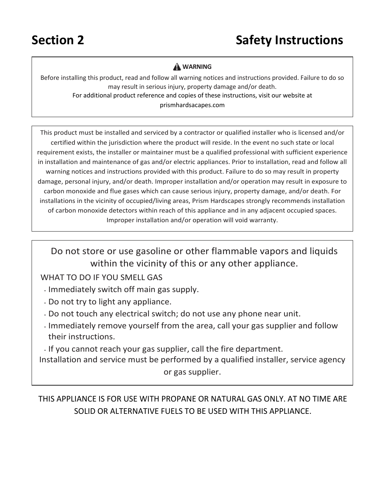### **A** WARNING

Before installing this product, read and follow all warning notices and instructions provided. Failure to do so may result in serious injury, property damage and/or death. For additional product reference and copies of these instructions, visit our website at prismhardsacapes.com

This product must be installed and serviced by a contractor or qualified installer who is licensed and/or certified within the jurisdiction where the product will reside. In the event no such state or local requirement exists, the installer or maintainer must be a qualified professional with sufficient experience in installation and maintenance of gas and/or electric appliances. Prior to installation, read and follow all warning notices and instructions provided with this product. Failure to do so may result in property damage, personal injury, and/or death. Improper installation and/or operation may result in exposure to carbon monoxide and flue gases which can cause serious injury, property damage, and/or death. For installations in the vicinity of occupied/living areas, Prism Hardscapes strongly recommends installation of carbon monoxide detectors within reach of this appliance and in any adjacent occupied spaces. Improper installation and/or operation will void warranty.

Do not store or use gasoline or other flammable vapors and liquids within the vicinity of this or any other appliance.

### WHAT TO DO IF YOU SMELL GAS

- **•** Immediately switch off main gas supply.
- **•** Do not try to light any appliance.
- **•** Do not touch any electrical switch; do not use any phone near unit.
- **•** Immediately remove yourself from the area, call your gas supplier and follow their instructions.
- **•** If you cannot reach your gas supplier, call the fire department.

Installation and service must be performed by a qualified installer, service agency or gas supplier.

THIS APPLIANCE IS FOR USE WITH PROPANE OR NATURAL GAS ONLY. AT NO TIME ARE SOLID OR ALTERNATIVE FUELS TO BE USED WITH THIS APPLIANCE.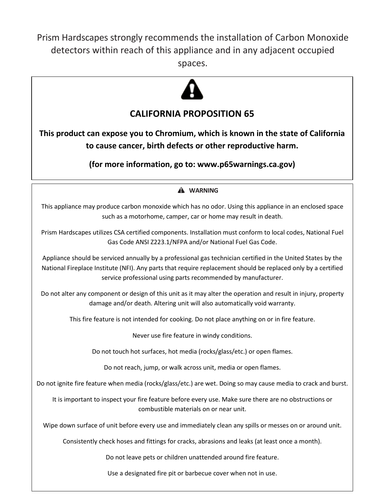Prism Hardscapes strongly recommends the installation of Carbon Monoxide detectors within reach of this appliance and in any adjacent occupied spaces.



### **CALIFORNIA PROPOSITION 65**

**This product can expose you to Chromium, which is known in the state of California to cause cancer, birth defects or other reproductive harm.**

**(for more information, go to: www.p65warnings.ca.gov)**

 $\overline{\phantom{a}}$ 

### **WARNING**

This appliance may produce carbon monoxide which has no odor. Using this appliance in an enclosed space such as a motorhome, camper, car or home may result in death.

Prism Hardscapes utilizes CSA certified components. Installation must conform to local codes, National Fuel Gas Code ANSI Z223.1/NFPA and/or National Fuel Gas Code.

Appliance should be serviced annually by a professional gas technician certified in the United States by the National Fireplace Institute (NFI). Any parts that require replacement should be replaced only by a certified service professional using parts recommended by manufacturer.

Do not alter any component or design of this unit as it may alter the operation and result in injury, property damage and/or death. Altering unit will also automatically void warranty.

This fire feature is not intended for cooking. Do not place anything on or in fire feature.

Never use fire feature in windy conditions.

Do not touch hot surfaces, hot media (rocks/glass/etc.) or open flames.

Do not reach, jump, or walk across unit, media or open flames.

Do not ignite fire feature when media (rocks/glass/etc.) are wet. Doing so may cause media to crack and burst.

It is important to inspect your fire feature before every use. Make sure there are no obstructions or combustible materials on or near unit.

Wipe down surface of unit before every use and immediately clean any spills or messes on or around unit.

Consistently check hoses and fittings for cracks, abrasions and leaks (at least once a month).

Do not leave pets or children unattended around fire feature.

Use a designated fire pit or barbecue cover when not in use.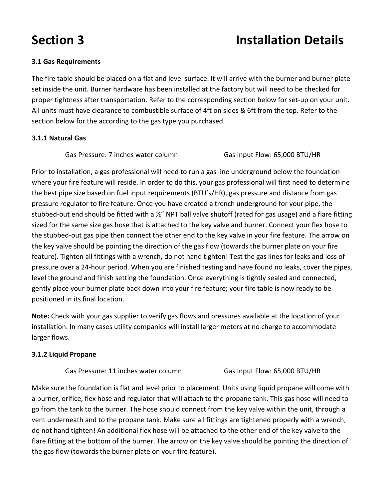## **Section 3 Installation Details**

#### **3.1 Gas Requirements**

The fire table should be placed on a flat and level surface. It will arrive with the burner and burner plate set inside the unit. Burner hardware has been installed at the factory but will need to be checked for proper tightness after transportation. Refer to the corresponding section below for set-up on your unit. All units must have clearance to combustible surface of 4ft on sides & 6ft from the top. Refer to the section below for the according to the gas type you purchased.

#### **3.1.1 Natural Gas**

Gas Pressure: 7 inches water column Gas Input Flow: 65,000 BTU/HR

Prior to installation, a gas professional will need to run a gas line underground below the foundation where your fire feature will reside. In order to do this, your gas professional will first need to determine the best pipe size based on fuel input requirements (BTU's/HR), gas pressure and distance from gas pressure regulator to fire feature. Once you have created a trench underground for your pipe, the stubbed-out end should be fitted with a ½" NPT ball valve shutoff (rated for gas usage) and a flare fitting sized for the same size gas hose that is attached to the key valve and burner. Connect your flex hose to the stubbed-out gas pipe then connect the other end to the key valve in your fire feature. The arrow on the key valve should be pointing the direction of the gas flow (towards the burner plate on your fire feature). Tighten all fittings with a wrench, do not hand tighten! Test the gas lines for leaks and loss of pressure over a 24-hour period. When you are finished testing and have found no leaks, cover the pipes, level the ground and finish setting the foundation. Once everything is tightly sealed and connected, gently place your burner plate back down into your fire feature; your fire table is now ready to be positioned in its final location.

**Note:** Check with your gas supplier to verify gas flows and pressures available at the location of your installation. In many cases utility companies will install larger meters at no charge to accommodate larger flows.

#### **3.1.2 Liquid Propane**

Gas Pressure: 11 inches water column Gas Input Flow: 65,000 BTU/HR

Make sure the foundation is flat and level prior to placement. Units using liquid propane will come with a burner, orifice, flex hose and regulator that will attach to the propane tank. This gas hose will need to go from the tank to the burner. The hose should connect from the key valve within the unit, through a vent underneath and to the propane tank. Make sure all fittings are tightened properly with a wrench, do not hand tighten! An additional flex hose will be attached to the other end of the key valve to the flare fitting at the bottom of the burner. The arrow on the key valve should be pointing the direction of the gas flow (towards the burner plate on your fire feature).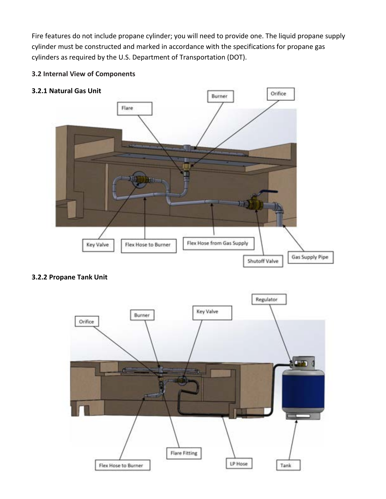Fire features do not include propane cylinder; you will need to provide one. The liquid propane supply cylinder must be constructed and marked in accordance with the specifications for propane gas cylinders as required by the U.S. Department of Transportation (DOT).

#### **3.2 Internal View of Components**

#### **3.2.1 Natural Gas Unit**



#### **3.2.2 Propane Tank Unit**

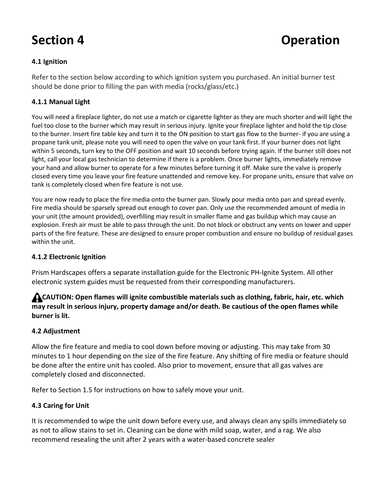### **Section 4** Operation

#### **4.1 Ignition**

Refer to the section below according to which ignition system you purchased. An initial burner test should be done prior to filling the pan with media (rocks/glass/etc.)

#### **4.1.1 Manual Light**

You will need a fireplace lighter, do not use a match or cigarette lighter as they are much shorter and will light the fuel too close to the burner which may result in serious injury. Ignite your fireplace lighter and hold the tip close to the burner. Insert fire table key and turn it to the ON position to start gas flow to the burner- if you are using a propane tank unit, please note you will need to open the valve on your tank first. If your burner does not light within 5 seconds, turn key to the OFF position and wait 10 seconds before trying again. If the burner still does not light, call your local gas technician to determine if there is a problem. Once burner lights, immediately remove your hand and allow burner to operate for a few minutes before turning it off. Make sure the valve is properly closed every time you leave your fire feature unattended and remove key. For propane units, ensure that valve on tank is completely closed when fire feature is not use.

You are now ready to place the fire media onto the burner pan. Slowly pour media onto pan and spread evenly. Fire media should be sparsely spread out enough to cover pan. Only use the recommended amount of media in your unit (the amount provided), overfilling may result in smaller flame and gas buildup which may cause an explosion. Fresh air must be able to pass through the unit. Do not block or obstruct any vents on lower and upper parts of the fire feature. These are designed to ensure proper combustion and ensure no buildup of residual gases within the unit.

#### **4.1.2 Electronic Ignition**

Prism Hardscapes offers a separate installation guide for the Electronic PH-Ignite System. All other electronic system guides must be requested from their corresponding manufacturers.

#### **CAUTION: Open flames will ignite combustible materials such as clothing, fabric, hair, etc. which may result in serious injury, property damage and/or death. Be cautious of the open flames while burner is lit.**

#### **4.2 Adjustment**

Allow the fire feature and media to cool down before moving or adjusting. This may take from 30 minutes to 1 hour depending on the size of the fire feature. Any shifting of fire media or feature should be done after the entire unit has cooled. Also prior to movement, ensure that all gas valves are completely closed and disconnected.

Refer to Section 1.5 for instructions on how to safely move your unit.

#### **4.3 Caring for Unit**

It is recommended to wipe the unit down before every use, and always clean any spills immediately so as not to allow stains to set in. Cleaning can be done with mild soap, water, and a rag. We also recommend resealing the unit after 2 years with a water-based concrete sealer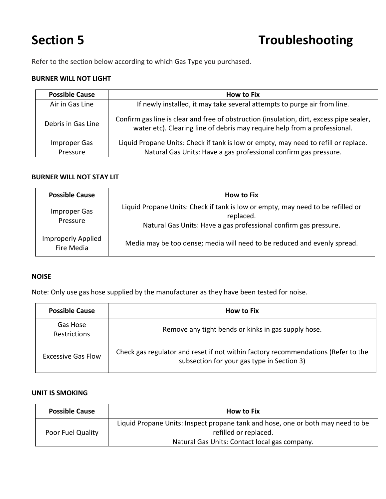Refer to the section below according to which Gas Type you purchased.

#### **BURNER WILL NOT LIGHT**

| <b>Possible Cause</b> | <b>How to Fix</b>                                                                                                                                                     |
|-----------------------|-----------------------------------------------------------------------------------------------------------------------------------------------------------------------|
| Air in Gas Line       | If newly installed, it may take several attempts to purge air from line.                                                                                              |
| Debris in Gas Line    | Confirm gas line is clear and free of obstruction (insulation, dirt, excess pipe sealer,<br>water etc). Clearing line of debris may require help from a professional. |
| Improper Gas          | Liquid Propane Units: Check if tank is low or empty, may need to refill or replace.                                                                                   |
| Pressure              | Natural Gas Units: Have a gas professional confirm gas pressure.                                                                                                      |

#### **BURNER WILL NOT STAY LIT**

| <b>Possible Cause</b>            | <b>How to Fix</b>                                                                                                                                                |
|----------------------------------|------------------------------------------------------------------------------------------------------------------------------------------------------------------|
| Improper Gas<br>Pressure         | Liquid Propane Units: Check if tank is low or empty, may need to be refilled or<br>replaced.<br>Natural Gas Units: Have a gas professional confirm gas pressure. |
| Improperly Applied<br>Fire Media | Media may be too dense; media will need to be reduced and evenly spread.                                                                                         |

#### **NOISE**

Note: Only use gas hose supplied by the manufacturer as they have been tested for noise.

| <b>Possible Cause</b>           | <b>How to Fix</b>                                                                                                               |
|---------------------------------|---------------------------------------------------------------------------------------------------------------------------------|
| Gas Hose<br><b>Restrictions</b> | Remove any tight bends or kinks in gas supply hose.                                                                             |
| <b>Excessive Gas Flow</b>       | Check gas regulator and reset if not within factory recommendations (Refer to the<br>subsection for your gas type in Section 3) |

#### **UNIT IS SMOKING**

| <b>Possible Cause</b> | <b>How to Fix</b>                                                                                        |
|-----------------------|----------------------------------------------------------------------------------------------------------|
| Poor Fuel Quality     | Liquid Propane Units: Inspect propane tank and hose, one or both may need to be<br>refilled or replaced. |
|                       | Natural Gas Units: Contact local gas company.                                                            |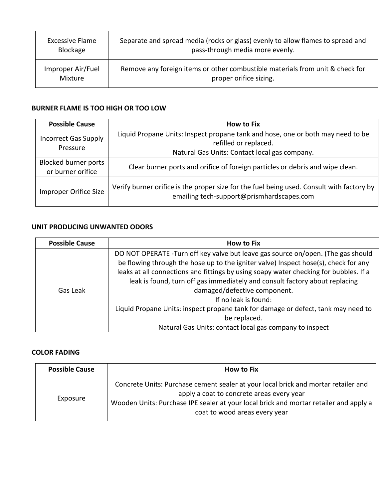| Excessive Flame   | Separate and spread media (rocks or glass) evenly to allow flames to spread and |
|-------------------|---------------------------------------------------------------------------------|
| Blockage          | pass-through media more evenly.                                                 |
| Improper Air/Fuel | Remove any foreign items or other combustible materials from unit & check for   |
| Mixture           | proper orifice sizing.                                                          |

### **BURNER FLAME IS TOO HIGH OR TOO LOW**

| <b>Possible Cause</b>                            | <b>How to Fix</b>                                                                                                                                         |
|--------------------------------------------------|-----------------------------------------------------------------------------------------------------------------------------------------------------------|
| <b>Incorrect Gas Supply</b><br>Pressure          | Liquid Propane Units: Inspect propane tank and hose, one or both may need to be<br>refilled or replaced.<br>Natural Gas Units: Contact local gas company. |
| <b>Blocked burner ports</b><br>or burner orifice | Clear burner ports and orifice of foreign particles or debris and wipe clean.                                                                             |
| Improper Orifice Size                            | Verify burner orifice is the proper size for the fuel being used. Consult with factory by<br>emailing tech-support@prismhardscapes.com                    |

### **UNIT PRODUCING UNWANTED ODORS**

| <b>Possible Cause</b> | <b>How to Fix</b>                                                                                                                                                       |
|-----------------------|-------------------------------------------------------------------------------------------------------------------------------------------------------------------------|
| Gas Leak              | DO NOT OPERATE -Turn off key valve but leave gas source on/open. (The gas should<br>be flowing through the hose up to the igniter valve) Inspect hose(s), check for any |
|                       | leaks at all connections and fittings by using soapy water checking for bubbles. If a<br>leak is found, turn off gas immediately and consult factory about replacing    |
|                       | damaged/defective component.                                                                                                                                            |
|                       | If no leak is found:                                                                                                                                                    |
|                       | Liquid Propane Units: inspect propane tank for damage or defect, tank may need to<br>be replaced.                                                                       |
|                       | Natural Gas Units: contact local gas company to inspect                                                                                                                 |

#### **COLOR FADING**

| <b>Possible Cause</b> | <b>How to Fix</b>                                                                                                                                                                                                                                         |
|-----------------------|-----------------------------------------------------------------------------------------------------------------------------------------------------------------------------------------------------------------------------------------------------------|
| Exposure              | Concrete Units: Purchase cement sealer at your local brick and mortar retailer and<br>apply a coat to concrete areas every year<br>Wooden Units: Purchase IPE sealer at your local brick and mortar retailer and apply a<br>coat to wood areas every year |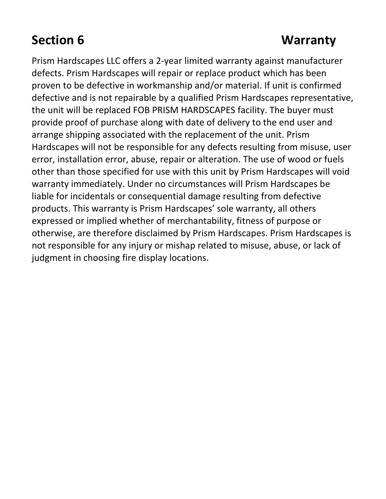## **Section 6 Warranty**

Prism Hardscapes LLC offers a 2-year limited warranty against manufacturer defects. Prism Hardscapes will repair or replace product which has been proven to be defective in workmanship and/or material. If unit is confirmed defective and is not repairable by a qualified Prism Hardscapes representative, the unit will be replaced FOB PRISM HARDSCAPES facility. The buyer must provide proof of purchase along with date of delivery to the end user and arrange shipping associated with the replacement of the unit. Prism Hardscapes will not be responsible for any defects resulting from misuse, user error, installation error, abuse, repair or alteration. The use of wood or fuels other than those specified for use with this unit by Prism Hardscapes will void warranty immediately. Under no circumstances will Prism Hardscapes be liable for incidentals or consequential damage resulting from defective products. This warranty is Prism Hardscapes' sole warranty, all others expressed or implied whether of merchantability, fitness of purpose or otherwise, are therefore disclaimed by Prism Hardscapes. Prism Hardscapes is not responsible for any injury or mishap related to misuse, abuse, or lack of judgment in choosing fire display locations.